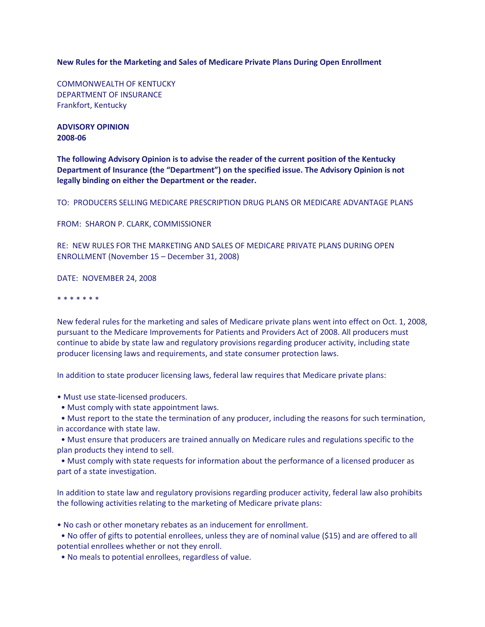**New Rules for the Marketing and Sales of Medicare Private Plans During Open Enrollment**

COMMONWEALTH OF KENTUCKY DEPARTMENT OF INSURANCE Frankfort, Kentucky

**ADVISORY OPINION 2008-06**

**The following Advisory Opinion is to advise the reader of the current position of the Kentucky Department of Insurance (the "Department") on the specified issue. The Advisory Opinion is not legally binding on either the Department or the reader.**

TO: PRODUCERS SELLING MEDICARE PRESCRIPTION DRUG PLANS OR MEDICARE ADVANTAGE PLANS

FROM: SHARON P. CLARK, COMMISSIONER

RE: NEW RULES FOR THE MARKETING AND SALES OF MEDICARE PRIVATE PLANS DURING OPEN ENROLLMENT (November 15 – December 31, 2008)

DATE: NOVEMBER 24, 2008

\* \* \* \* \* \* \*

New federal rules for the marketing and sales of Medicare private plans went into effect on Oct. 1, 2008, pursuant to the Medicare Improvements for Patients and Providers Act of 2008. All producers must continue to abide by state law and regulatory provisions regarding producer activity, including state producer licensing laws and requirements, and state consumer protection laws.

In addition to state producer licensing laws, federal law requires that Medicare private plans:

• Must use state-licensed producers.

• Must comply with state appointment laws.

• Must report to the state the termination of any producer, including the reasons for such termination, in accordance with state law.

• Must ensure that producers are trained annually on Medicare rules and regulations specific to the plan products they intend to sell.

• Must comply with state requests for information about the performance of a licensed producer as part of a state investigation.

In addition to state law and regulatory provisions regarding producer activity, federal law also prohibits the following activities relating to the marketing of Medicare private plans:

• No cash or other monetary rebates as an inducement for enrollment.

• No offer of gifts to potential enrollees, unless they are of nominal value (\$15) and are offered to all potential enrollees whether or not they enroll.

• No meals to potential enrollees, regardless of value.